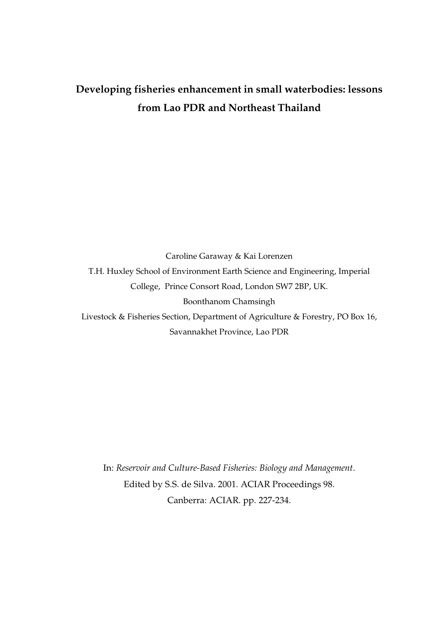# **Developing fisheries enhancement in small waterbodies: lessons from Lao PDR and Northeast Thailand**

Caroline Garaway & Kai Lorenzen T.H. Huxley School of Environment Earth Science and Engineering, Imperial College, Prince Consort Road, London SW7 2BP, UK. Boonthanom Chamsingh Livestock & Fisheries Section, Department of Agriculture & Forestry, PO Box 16, Savannakhet Province, Lao PDR

In: *Reservoir and Culture-Based Fisheries: Biology and Management*. Edited by S.S. de Silva. 2001. ACIAR Proceedings 98. Canberra: ACIAR. pp. 227-234.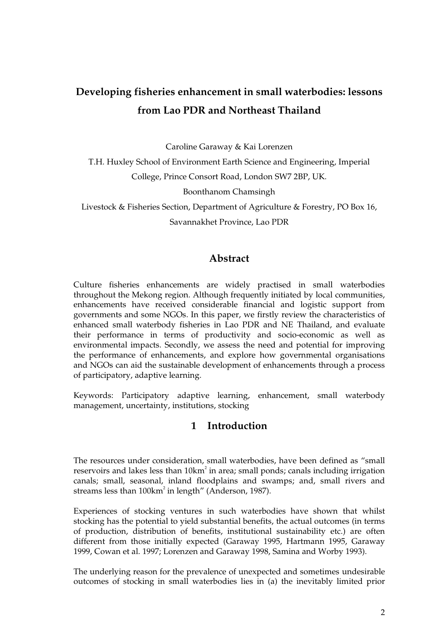# **Developing fisheries enhancement in small waterbodies: lessons from Lao PDR and Northeast Thailand**

Caroline Garaway & Kai Lorenzen

T.H. Huxley School of Environment Earth Science and Engineering, Imperial College, Prince Consort Road, London SW7 2BP, UK.

Boonthanom Chamsingh

Livestock & Fisheries Section, Department of Agriculture & Forestry, PO Box 16,

Savannakhet Province, Lao PDR

# **Abstract**

Culture fisheries enhancements are widely practised in small waterbodies throughout the Mekong region. Although frequently initiated by local communities, enhancements have received considerable financial and logistic support from governments and some NGOs. In this paper, we firstly review the characteristics of enhanced small waterbody fisheries in Lao PDR and NE Thailand, and evaluate their performance in terms of productivity and socio-economic as well as environmental impacts. Secondly, we assess the need and potential for improving the performance of enhancements, and explore how governmental organisations and NGOs can aid the sustainable development of enhancements through a process of participatory, adaptive learning.

Keywords: Participatory adaptive learning, enhancement, small waterbody management, uncertainty, institutions, stocking

# **1 Introduction**

The resources under consideration, small waterbodies, have been defined as "small reservoirs and lakes less than 10km<sup>2</sup> in area; small ponds; canals including irrigation canals; small, seasonal, inland floodplains and swamps; and, small rivers and streams less than 100km<sup>2</sup> in length" (Anderson, 1987).

Experiences of stocking ventures in such waterbodies have shown that whilst stocking has the potential to yield substantial benefits, the actual outcomes (in terms of production, distribution of benefits, institutional sustainability etc.) are often different from those initially expected (Garaway 1995, Hartmann 1995, Garaway 1999, Cowan et al. 1997; Lorenzen and Garaway 1998, Samina and Worby 1993).

The underlying reason for the prevalence of unexpected and sometimes undesirable outcomes of stocking in small waterbodies lies in (a) the inevitably limited prior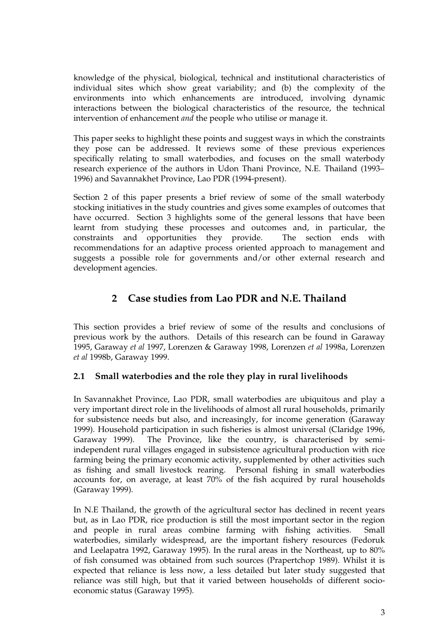knowledge of the physical, biological, technical and institutional characteristics of individual sites which show great variability; and (b) the complexity of the environments into which enhancements are introduced, involving dynamic interactions between the biological characteristics of the resource, the technical intervention of enhancement *and* the people who utilise or manage it.

This paper seeks to highlight these points and suggest ways in which the constraints they pose can be addressed. It reviews some of these previous experiences specifically relating to small waterbodies, and focuses on the small waterbody research experience of the authors in Udon Thani Province, N.E. Thailand (1993– 1996) and Savannakhet Province, Lao PDR (1994-present).

Section 2 of this paper presents a brief review of some of the small waterbody stocking initiatives in the study countries and gives some examples of outcomes that have occurred. Section 3 highlights some of the general lessons that have been learnt from studying these processes and outcomes and, in particular, the constraints and opportunities they provide. The section ends with recommendations for an adaptive process oriented approach to management and suggests a possible role for governments and/or other external research and development agencies.

# **2 Case studies from Lao PDR and N.E. Thailand**

This section provides a brief review of some of the results and conclusions of previous work by the authors. Details of this research can be found in Garaway 1995, Garaway *et al* 1997, Lorenzen & Garaway 1998, Lorenzen *et al* 1998a, Lorenzen *et al* 1998b, Garaway 1999.

# **2.1 Small waterbodies and the role they play in rural livelihoods**

In Savannakhet Province, Lao PDR, small waterbodies are ubiquitous and play a very important direct role in the livelihoods of almost all rural households, primarily for subsistence needs but also, and increasingly, for income generation (Garaway 1999). Household participation in such fisheries is almost universal (Claridge 1996, Garaway 1999). The Province, like the country, is characterised by semiindependent rural villages engaged in subsistence agricultural production with rice farming being the primary economic activity, supplemented by other activities such as fishing and small livestock rearing. Personal fishing in small waterbodies accounts for, on average, at least 70% of the fish acquired by rural households (Garaway 1999).

In N.E Thailand, the growth of the agricultural sector has declined in recent years but, as in Lao PDR, rice production is still the most important sector in the region and people in rural areas combine farming with fishing activities. Small waterbodies, similarly widespread, are the important fishery resources (Fedoruk and Leelapatra 1992, Garaway 1995). In the rural areas in the Northeast, up to 80% of fish consumed was obtained from such sources (Prapertchop 1989). Whilst it is expected that reliance is less now, a less detailed but later study suggested that reliance was still high, but that it varied between households of different socioeconomic status (Garaway 1995).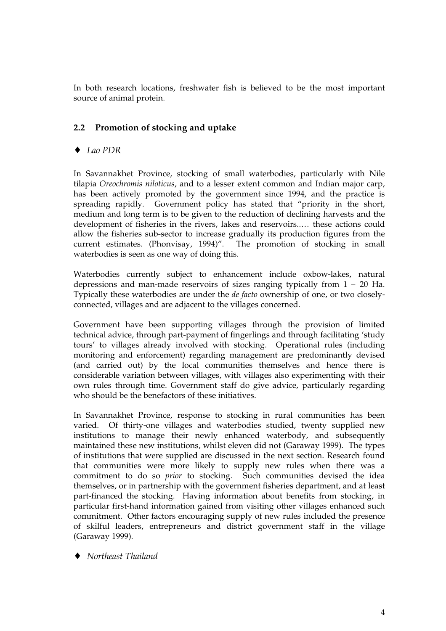In both research locations, freshwater fish is believed to be the most important source of animal protein.

## **2.2 Promotion of stocking and uptake**

♦ *Lao PDR*

In Savannakhet Province, stocking of small waterbodies, particularly with Nile tilapia *Oreochromis niloticus*, and to a lesser extent common and Indian major carp, has been actively promoted by the government since 1994, and the practice is spreading rapidly. Government policy has stated that "priority in the short, medium and long term is to be given to the reduction of declining harvests and the development of fisheries in the rivers, lakes and reservoirs..… these actions could allow the fisheries sub-sector to increase gradually its production figures from the current estimates. (Phonvisay, 1994)". The promotion of stocking in small waterbodies is seen as one way of doing this.

Waterbodies currently subject to enhancement include oxbow-lakes, natural depressions and man-made reservoirs of sizes ranging typically from 1 – 20 Ha. Typically these waterbodies are under the *de facto* ownership of one, or two closelyconnected, villages and are adjacent to the villages concerned.

Government have been supporting villages through the provision of limited technical advice, through part-payment of fingerlings and through facilitating 'study tours' to villages already involved with stocking. Operational rules (including monitoring and enforcement) regarding management are predominantly devised (and carried out) by the local communities themselves and hence there is considerable variation between villages, with villages also experimenting with their own rules through time. Government staff do give advice, particularly regarding who should be the benefactors of these initiatives.

In Savannakhet Province, response to stocking in rural communities has been varied. Of thirty-one villages and waterbodies studied, twenty supplied new institutions to manage their newly enhanced waterbody, and subsequently maintained these new institutions, whilst eleven did not (Garaway 1999). The types of institutions that were supplied are discussed in the next section. Research found that communities were more likely to supply new rules when there was a commitment to do so *prior* to stocking. Such communities devised the idea themselves, or in partnership with the government fisheries department, and at least part-financed the stocking. Having information about benefits from stocking, in particular first-hand information gained from visiting other villages enhanced such commitment. Other factors encouraging supply of new rules included the presence of skilful leaders, entrepreneurs and district government staff in the village (Garaway 1999).

♦ *Northeast Thailand*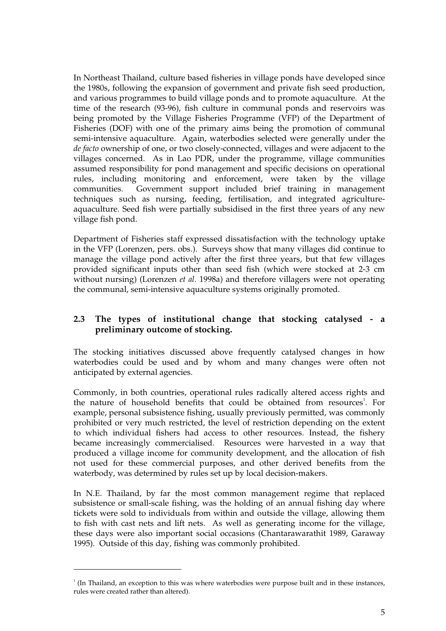In Northeast Thailand, culture based fisheries in village ponds have developed since the 1980s, following the expansion of government and private fish seed production, and various programmes to build village ponds and to promote aquaculture. At the time of the research (93-96), fish culture in communal ponds and reservoirs was being promoted by the Village Fisheries Programme (VFP) of the Department of Fisheries (DOF) with one of the primary aims being the promotion of communal semi-intensive aquaculture. Again, waterbodies selected were generally under the *de facto* ownership of one, or two closely-connected, villages and were adjacent to the villages concerned. As in Lao PDR, under the programme, village communities assumed responsibility for pond management and specific decisions on operational rules, including monitoring and enforcement, were taken by the village communities. Government support included brief training in management techniques such as nursing, feeding, fertilisation, and integrated agricultureaquaculture. Seed fish were partially subsidised in the first three years of any new village fish pond.

Department of Fisheries staff expressed dissatisfaction with the technology uptake in the VFP (Lorenzen, pers. obs.). Surveys show that many villages did continue to manage the village pond actively after the first three years, but that few villages provided significant inputs other than seed fish (which were stocked at 2-3 cm without nursing) (Lorenzen *et al*. 1998a) and therefore villagers were not operating the communal, semi-intensive aquaculture systems originally promoted.

## **2.3 The types of institutional change that stocking catalysed - a preliminary outcome of stocking.**

The stocking initiatives discussed above frequently catalysed changes in how waterbodies could be used and by whom and many changes were often not anticipated by external agencies.

Commonly, in both countries, operational rules radically altered access rights and the nature of household benefits that could be obtained from resources<sup>1</sup>. For example, personal subsistence fishing, usually previously permitted, was commonly prohibited or very much restricted, the level of restriction depending on the extent to which individual fishers had access to other resources. Instead, the fishery became increasingly commercialised. Resources were harvested in a way that produced a village income for community development, and the allocation of fish not used for these commercial purposes, and other derived benefits from the waterbody, was determined by rules set up by local decision-makers.

In N.E. Thailand, by far the most common management regime that replaced subsistence or small-scale fishing, was the holding of an annual fishing day where tickets were sold to individuals from within and outside the village, allowing them to fish with cast nets and lift nets. As well as generating income for the village, these days were also important social occasions (Chantarawarathit 1989, Garaway 1995). Outside of this day, fishing was commonly prohibited.

-

<sup>1</sup> (In Thailand, an exception to this was where waterbodies were purpose built and in these instances, rules were created rather than altered).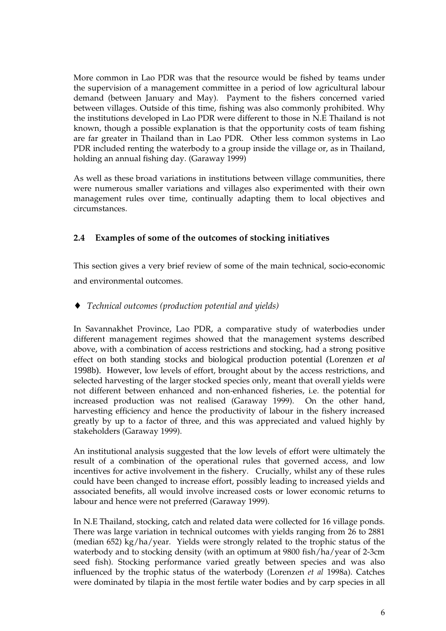More common in Lao PDR was that the resource would be fished by teams under the supervision of a management committee in a period of low agricultural labour demand (between January and May). Payment to the fishers concerned varied between villages. Outside of this time, fishing was also commonly prohibited. Why the institutions developed in Lao PDR were different to those in N.E Thailand is not known, though a possible explanation is that the opportunity costs of team fishing are far greater in Thailand than in Lao PDR. Other less common systems in Lao PDR included renting the waterbody to a group inside the village or, as in Thailand, holding an annual fishing day. (Garaway 1999)

As well as these broad variations in institutions between village communities, there were numerous smaller variations and villages also experimented with their own management rules over time, continually adapting them to local objectives and circumstances.

## **2.4 Examples of some of the outcomes of stocking initiatives**

This section gives a very brief review of some of the main technical, socio-economic and environmental outcomes.

## ♦ *Technical outcomes (production potential and yields)*

In Savannakhet Province, Lao PDR, a comparative study of waterbodies under different management regimes showed that the management systems described above, with a combination of access restrictions and stocking, had a strong positive effect on both standing stocks and biological production potential (Lorenzen *et al* 1998b). However, low levels of effort, brought about by the access restrictions, and selected harvesting of the larger stocked species only, meant that overall yields were not different between enhanced and non-enhanced fisheries, i.e. the potential for increased production was not realised (Garaway 1999). On the other hand, harvesting efficiency and hence the productivity of labour in the fishery increased greatly by up to a factor of three, and this was appreciated and valued highly by stakeholders (Garaway 1999).

An institutional analysis suggested that the low levels of effort were ultimately the result of a combination of the operational rules that governed access, and low incentives for active involvement in the fishery. Crucially, whilst any of these rules could have been changed to increase effort, possibly leading to increased yields and associated benefits, all would involve increased costs or lower economic returns to labour and hence were not preferred (Garaway 1999).

In N.E Thailand, stocking, catch and related data were collected for 16 village ponds. There was large variation in technical outcomes with yields ranging from 26 to 2881 (median 652) kg/ha/year. Yields were strongly related to the trophic status of the waterbody and to stocking density (with an optimum at 9800 fish/ha/year of 2-3cm seed fish). Stocking performance varied greatly between species and was also influenced by the trophic status of the waterbody (Lorenzen *et al* 1998a). Catches were dominated by tilapia in the most fertile water bodies and by carp species in all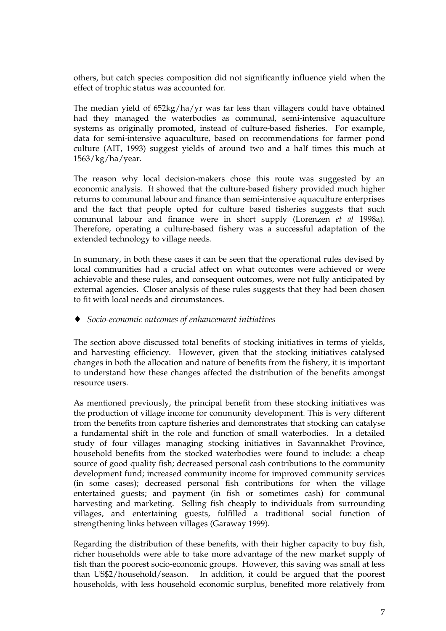others, but catch species composition did not significantly influence yield when the effect of trophic status was accounted for.

The median yield of 652kg/ha/yr was far less than villagers could have obtained had they managed the waterbodies as communal, semi-intensive aquaculture systems as originally promoted, instead of culture-based fisheries. For example, data for semi-intensive aquaculture, based on recommendations for farmer pond culture (AIT, 1993) suggest yields of around two and a half times this much at 1563/kg/ha/year.

The reason why local decision-makers chose this route was suggested by an economic analysis. It showed that the culture-based fishery provided much higher returns to communal labour and finance than semi-intensive aquaculture enterprises and the fact that people opted for culture based fisheries suggests that such communal labour and finance were in short supply (Lorenzen *et al* 1998a). Therefore, operating a culture-based fishery was a successful adaptation of the extended technology to village needs.

In summary, in both these cases it can be seen that the operational rules devised by local communities had a crucial affect on what outcomes were achieved or were achievable and these rules, and consequent outcomes, were not fully anticipated by external agencies. Closer analysis of these rules suggests that they had been chosen to fit with local needs and circumstances.

#### ♦ *Socio-economic outcomes of enhancement initiatives*

The section above discussed total benefits of stocking initiatives in terms of yields, and harvesting efficiency. However, given that the stocking initiatives catalysed changes in both the allocation and nature of benefits from the fishery, it is important to understand how these changes affected the distribution of the benefits amongst resource users.

As mentioned previously, the principal benefit from these stocking initiatives was the production of village income for community development. This is very different from the benefits from capture fisheries and demonstrates that stocking can catalyse a fundamental shift in the role and function of small waterbodies. In a detailed study of four villages managing stocking initiatives in Savannakhet Province, household benefits from the stocked waterbodies were found to include: a cheap source of good quality fish; decreased personal cash contributions to the community development fund; increased community income for improved community services (in some cases); decreased personal fish contributions for when the village entertained guests; and payment (in fish or sometimes cash) for communal harvesting and marketing. Selling fish cheaply to individuals from surrounding villages, and entertaining guests, fulfilled a traditional social function of strengthening links between villages (Garaway 1999).

Regarding the distribution of these benefits, with their higher capacity to buy fish, richer households were able to take more advantage of the new market supply of fish than the poorest socio-economic groups. However, this saving was small at less than US\$2/household/season. In addition, it could be argued that the poorest households, with less household economic surplus, benefited more relatively from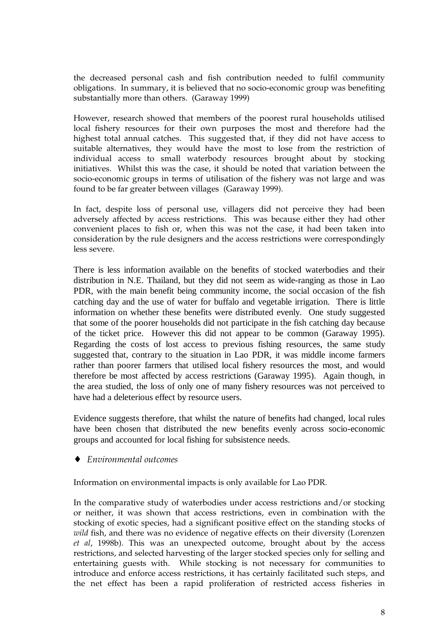the decreased personal cash and fish contribution needed to fulfil community obligations. In summary, it is believed that no socio-economic group was benefiting substantially more than others. (Garaway 1999)

However, research showed that members of the poorest rural households utilised local fishery resources for their own purposes the most and therefore had the highest total annual catches. This suggested that, if they did not have access to suitable alternatives, they would have the most to lose from the restriction of individual access to small waterbody resources brought about by stocking initiatives. Whilst this was the case, it should be noted that variation between the socio-economic groups in terms of utilisation of the fishery was not large and was found to be far greater between villages (Garaway 1999).

In fact, despite loss of personal use, villagers did not perceive they had been adversely affected by access restrictions. This was because either they had other convenient places to fish or, when this was not the case, it had been taken into consideration by the rule designers and the access restrictions were correspondingly less severe.

There is less information available on the benefits of stocked waterbodies and their distribution in N.E. Thailand, but they did not seem as wide-ranging as those in Lao PDR, with the main benefit being community income, the social occasion of the fish catching day and the use of water for buffalo and vegetable irrigation. There is little information on whether these benefits were distributed evenly. One study suggested that some of the poorer households did not participate in the fish catching day because of the ticket price. However this did not appear to be common (Garaway 1995). Regarding the costs of lost access to previous fishing resources, the same study suggested that, contrary to the situation in Lao PDR, it was middle income farmers rather than poorer farmers that utilised local fishery resources the most, and would therefore be most affected by access restrictions (Garaway 1995). Again though, in the area studied, the loss of only one of many fishery resources was not perceived to have had a deleterious effect by resource users.

Evidence suggests therefore, that whilst the nature of benefits had changed, local rules have been chosen that distributed the new benefits evenly across socio-economic groups and accounted for local fishing for subsistence needs.

♦ *Environmental outcomes*

Information on environmental impacts is only available for Lao PDR.

In the comparative study of waterbodies under access restrictions and/or stocking or neither, it was shown that access restrictions, even in combination with the stocking of exotic species, had a significant positive effect on the standing stocks of *wild* fish, and there was no evidence of negative effects on their diversity (Lorenzen *et al*, 1998b). This was an unexpected outcome, brought about by the access restrictions, and selected harvesting of the larger stocked species only for selling and entertaining guests with. While stocking is not necessary for communities to introduce and enforce access restrictions, it has certainly facilitated such steps, and the net effect has been a rapid proliferation of restricted access fisheries in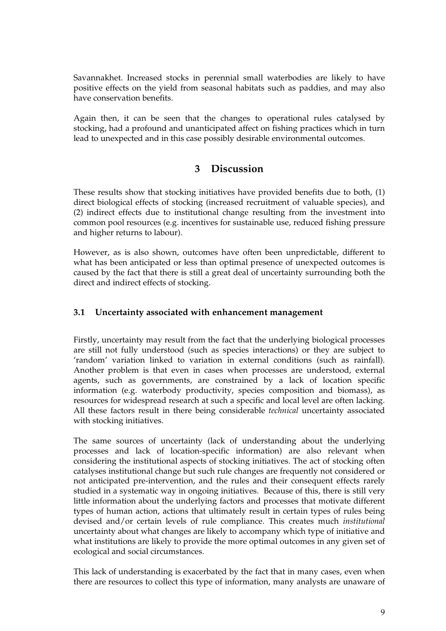Savannakhet. Increased stocks in perennial small waterbodies are likely to have positive effects on the yield from seasonal habitats such as paddies, and may also have conservation benefits.

Again then, it can be seen that the changes to operational rules catalysed by stocking, had a profound and unanticipated affect on fishing practices which in turn lead to unexpected and in this case possibly desirable environmental outcomes.

# **3 Discussion**

These results show that stocking initiatives have provided benefits due to both, (1) direct biological effects of stocking (increased recruitment of valuable species), and (2) indirect effects due to institutional change resulting from the investment into common pool resources (e.g. incentives for sustainable use, reduced fishing pressure and higher returns to labour).

However, as is also shown, outcomes have often been unpredictable, different to what has been anticipated or less than optimal presence of unexpected outcomes is caused by the fact that there is still a great deal of uncertainty surrounding both the direct and indirect effects of stocking.

## **3.1 Uncertainty associated with enhancement management**

Firstly, uncertainty may result from the fact that the underlying biological processes are still not fully understood (such as species interactions) or they are subject to 'random' variation linked to variation in external conditions (such as rainfall). Another problem is that even in cases when processes are understood, external agents, such as governments, are constrained by a lack of location specific information (e.g. waterbody productivity, species composition and biomass), as resources for widespread research at such a specific and local level are often lacking. All these factors result in there being considerable *technical* uncertainty associated with stocking initiatives.

The same sources of uncertainty (lack of understanding about the underlying processes and lack of location-specific information) are also relevant when considering the institutional aspects of stocking initiatives. The act of stocking often catalyses institutional change but such rule changes are frequently not considered or not anticipated pre-intervention, and the rules and their consequent effects rarely studied in a systematic way in ongoing initiatives. Because of this, there is still very little information about the underlying factors and processes that motivate different types of human action, actions that ultimately result in certain types of rules being devised and/or certain levels of rule compliance. This creates much *institutional* uncertainty about what changes are likely to accompany which type of initiative and what institutions are likely to provide the more optimal outcomes in any given set of ecological and social circumstances.

This lack of understanding is exacerbated by the fact that in many cases, even when there are resources to collect this type of information, many analysts are unaware of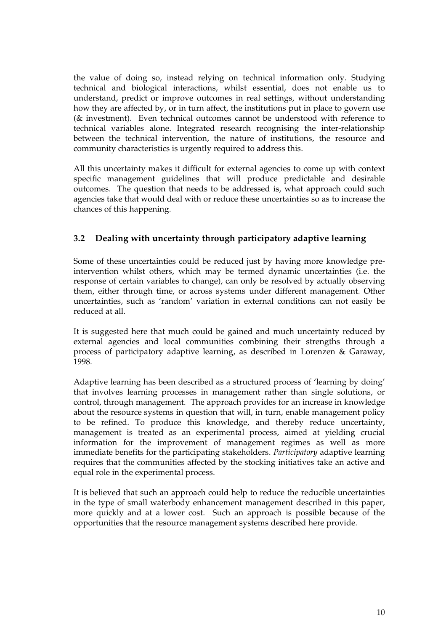the value of doing so, instead relying on technical information only. Studying technical and biological interactions, whilst essential, does not enable us to understand, predict or improve outcomes in real settings, without understanding how they are affected by, or in turn affect, the institutions put in place to govern use (& investment). Even technical outcomes cannot be understood with reference to technical variables alone. Integrated research recognising the inter-relationship between the technical intervention, the nature of institutions, the resource and community characteristics is urgently required to address this.

All this uncertainty makes it difficult for external agencies to come up with context specific management guidelines that will produce predictable and desirable outcomes. The question that needs to be addressed is, what approach could such agencies take that would deal with or reduce these uncertainties so as to increase the chances of this happening.

## **3.2 Dealing with uncertainty through participatory adaptive learning**

Some of these uncertainties could be reduced just by having more knowledge preintervention whilst others, which may be termed dynamic uncertainties (i.e. the response of certain variables to change), can only be resolved by actually observing them, either through time, or across systems under different management. Other uncertainties, such as 'random' variation in external conditions can not easily be reduced at all.

It is suggested here that much could be gained and much uncertainty reduced by external agencies and local communities combining their strengths through a process of participatory adaptive learning, as described in Lorenzen & Garaway, 1998.

Adaptive learning has been described as a structured process of 'learning by doing' that involves learning processes in management rather than single solutions, or control, through management. The approach provides for an increase in knowledge about the resource systems in question that will, in turn, enable management policy to be refined. To produce this knowledge, and thereby reduce uncertainty, management is treated as an experimental process, aimed at yielding crucial information for the improvement of management regimes as well as more immediate benefits for the participating stakeholders. *Participatory* adaptive learning requires that the communities affected by the stocking initiatives take an active and equal role in the experimental process.

It is believed that such an approach could help to reduce the reducible uncertainties in the type of small waterbody enhancement management described in this paper, more quickly and at a lower cost. Such an approach is possible because of the opportunities that the resource management systems described here provide.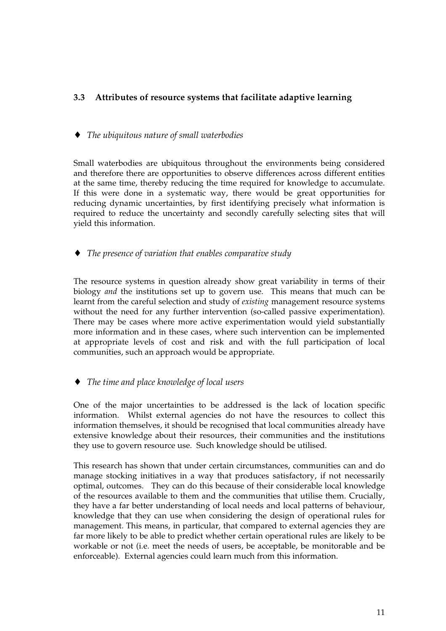## **3.3 Attributes of resource systems that facilitate adaptive learning**

#### ♦ *The ubiquitous nature of small waterbodies*

Small waterbodies are ubiquitous throughout the environments being considered and therefore there are opportunities to observe differences across different entities at the same time, thereby reducing the time required for knowledge to accumulate. If this were done in a systematic way, there would be great opportunities for reducing dynamic uncertainties, by first identifying precisely what information is required to reduce the uncertainty and secondly carefully selecting sites that will yield this information.

♦ *The presence of variation that enables comparative study*

The resource systems in question already show great variability in terms of their biology *and* the institutions set up to govern use. This means that much can be learnt from the careful selection and study of *existing* management resource systems without the need for any further intervention (so-called passive experimentation). There may be cases where more active experimentation would yield substantially more information and in these cases, where such intervention can be implemented at appropriate levels of cost and risk and with the full participation of local communities, such an approach would be appropriate.

## ♦ *The time and place knowledge of local users*

One of the major uncertainties to be addressed is the lack of location specific information. Whilst external agencies do not have the resources to collect this information themselves, it should be recognised that local communities already have extensive knowledge about their resources, their communities and the institutions they use to govern resource use. Such knowledge should be utilised.

This research has shown that under certain circumstances, communities can and do manage stocking initiatives in a way that produces satisfactory, if not necessarily optimal, outcomes. They can do this because of their considerable local knowledge of the resources available to them and the communities that utilise them. Crucially, they have a far better understanding of local needs and local patterns of behaviour, knowledge that they can use when considering the design of operational rules for management. This means, in particular, that compared to external agencies they are far more likely to be able to predict whether certain operational rules are likely to be workable or not (i.e. meet the needs of users, be acceptable, be monitorable and be enforceable). External agencies could learn much from this information.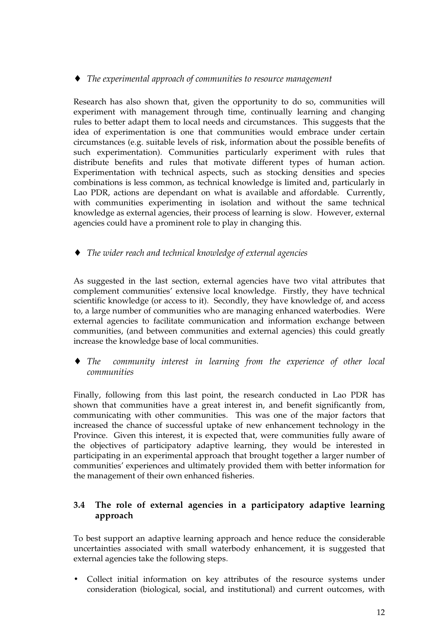♦ *The experimental approach of communities to resource management*

Research has also shown that, given the opportunity to do so, communities will experiment with management through time, continually learning and changing rules to better adapt them to local needs and circumstances. This suggests that the idea of experimentation is one that communities would embrace under certain circumstances (e.g. suitable levels of risk, information about the possible benefits of such experimentation). Communities particularly experiment with rules that distribute benefits and rules that motivate different types of human action. Experimentation with technical aspects, such as stocking densities and species combinations is less common, as technical knowledge is limited and, particularly in Lao PDR, actions are dependant on what is available and affordable. Currently, with communities experimenting in isolation and without the same technical knowledge as external agencies, their process of learning is slow. However, external agencies could have a prominent role to play in changing this.

♦ *The wider reach and technical knowledge of external agencies*

As suggested in the last section, external agencies have two vital attributes that complement communities' extensive local knowledge. Firstly, they have technical scientific knowledge (or access to it). Secondly, they have knowledge of, and access to, a large number of communities who are managing enhanced waterbodies. Were external agencies to facilitate communication and information exchange between communities, (and between communities and external agencies) this could greatly increase the knowledge base of local communities.

♦ *The community interest in learning from the experience of other local communities*

Finally, following from this last point, the research conducted in Lao PDR has shown that communities have a great interest in, and benefit significantly from, communicating with other communities. This was one of the major factors that increased the chance of successful uptake of new enhancement technology in the Province. Given this interest, it is expected that, were communities fully aware of the objectives of participatory adaptive learning, they would be interested in participating in an experimental approach that brought together a larger number of communities' experiences and ultimately provided them with better information for the management of their own enhanced fisheries.

## **3.4 The role of external agencies in a participatory adaptive learning approach**

To best support an adaptive learning approach and hence reduce the considerable uncertainties associated with small waterbody enhancement, it is suggested that external agencies take the following steps.

• Collect initial information on key attributes of the resource systems under consideration (biological, social, and institutional) and current outcomes, with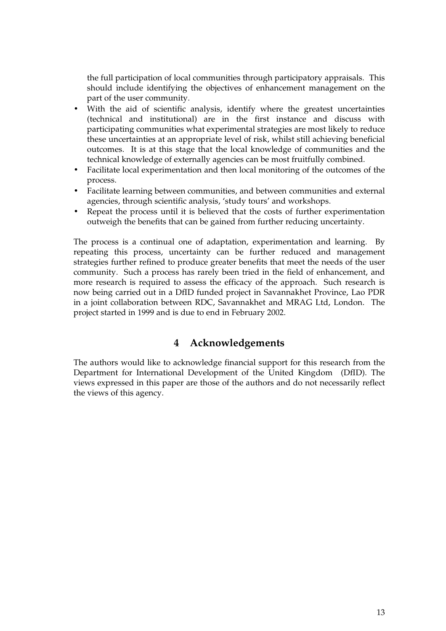the full participation of local communities through participatory appraisals. This should include identifying the objectives of enhancement management on the part of the user community.

- With the aid of scientific analysis, identify where the greatest uncertainties (technical and institutional) are in the first instance and discuss with participating communities what experimental strategies are most likely to reduce these uncertainties at an appropriate level of risk, whilst still achieving beneficial outcomes. It is at this stage that the local knowledge of communities and the technical knowledge of externally agencies can be most fruitfully combined.
- Facilitate local experimentation and then local monitoring of the outcomes of the process.
- Facilitate learning between communities, and between communities and external agencies, through scientific analysis, 'study tours' and workshops.
- Repeat the process until it is believed that the costs of further experimentation outweigh the benefits that can be gained from further reducing uncertainty.

The process is a continual one of adaptation, experimentation and learning. By repeating this process, uncertainty can be further reduced and management strategies further refined to produce greater benefits that meet the needs of the user community. Such a process has rarely been tried in the field of enhancement, and more research is required to assess the efficacy of the approach. Such research is now being carried out in a DfID funded project in Savannakhet Province, Lao PDR in a joint collaboration between RDC, Savannakhet and MRAG Ltd, London. The project started in 1999 and is due to end in February 2002.

# **4 Acknowledgements**

The authors would like to acknowledge financial support for this research from the Department for International Development of the United Kingdom (DfID). The views expressed in this paper are those of the authors and do not necessarily reflect the views of this agency.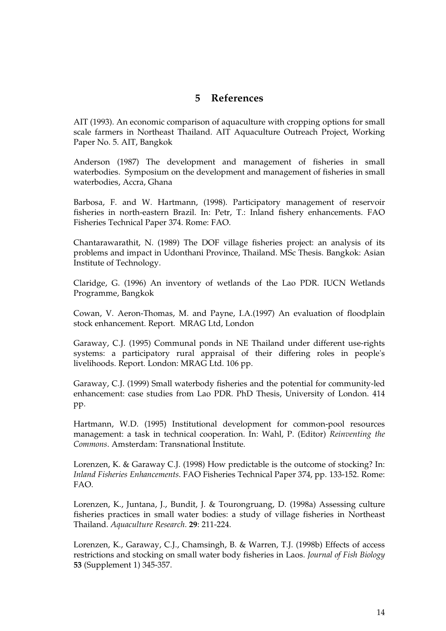# **5 References**

AIT (1993). An economic comparison of aquaculture with cropping options for small scale farmers in Northeast Thailand. AIT Aquaculture Outreach Project, Working Paper No. 5. AIT, Bangkok

Anderson (1987) The development and management of fisheries in small waterbodies. Symposium on the development and management of fisheries in small waterbodies, Accra, Ghana

Barbosa, F. and W. Hartmann, (1998). Participatory management of reservoir fisheries in north-eastern Brazil. In: Petr, T.: Inland fishery enhancements. FAO Fisheries Technical Paper 374. Rome: FAO.

Chantarawarathit, N. (1989) The DOF village fisheries project: an analysis of its problems and impact in Udonthani Province, Thailand. MSc Thesis. Bangkok: Asian Institute of Technology.

Claridge, G. (1996) An inventory of wetlands of the Lao PDR. IUCN Wetlands Programme, Bangkok

Cowan, V. Aeron-Thomas, M. and Payne, I.A.(1997) An evaluation of floodplain stock enhancement. Report. MRAG Ltd, London

Garaway, C.J. (1995) Communal ponds in NE Thailand under different use-rights systems: a participatory rural appraisal of their differing roles in people's livelihoods. Report. London: MRAG Ltd. 106 pp.

Garaway, C.J. (1999) Small waterbody fisheries and the potential for community-led enhancement: case studies from Lao PDR. PhD Thesis, University of London. 414 pp.

Hartmann, W.D. (1995) Institutional development for common-pool resources management: a task in technical cooperation. In: Wahl, P. (Editor) *Reinventing the Commons*. Amsterdam: Transnational Institute.

Lorenzen, K. & Garaway C.J. (1998) How predictable is the outcome of stocking? In: *Inland Fisheries Enhancements*. FAO Fisheries Technical Paper 374, pp. 133-152. Rome: FAO.

Lorenzen, K., Juntana, J., Bundit, J. & Tourongruang, D. (1998a) Assessing culture fisheries practices in small water bodies: a study of village fisheries in Northeast Thailand. *Aquaculture Research*. **29**: 211-224.

Lorenzen, K., Garaway, C.J., Chamsingh, B. & Warren, T.J. (1998b) Effects of access restrictions and stocking on small water body fisheries in Laos. *Journal of Fish Biology* **53** (Supplement 1) 345-357.